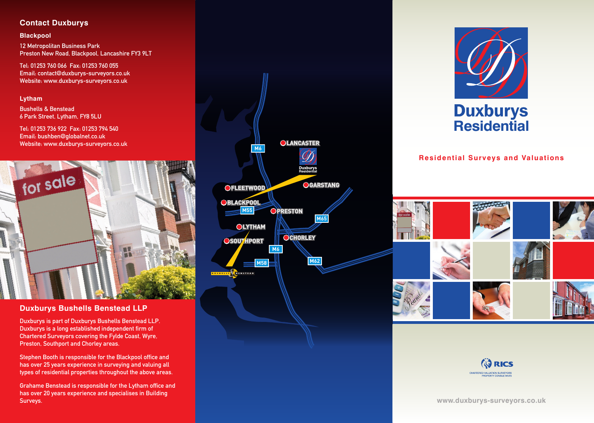## **Contact Duxburys**

### **Blackpool**

12 Metropolitan Business Park Preston New Road, Blackpool, Lancashire FY3 9LT

Tel: 01253 760 066 Fax: 01253 760 055 Email: contact@duxburys-surveyors.co.uk Website: www.duxburys-surveyors.co.uk

### **Lytham**

Bushells & Benstead 6 Park Street, Lytham, FY8 5LU

Tel: 01253 736 922 Fax: 01253 794 540 Email: bushben@globalnet.co.uk Website: www.duxburys-surveyors.co.uk



### **Duxburys Bushells Benstead LLP**

Duxburys is part of Duxburys Bushells Benstead LLP. Duxburys is a long established independent firm of Chartered Surveyors covering the Fylde Coast, Wyre, Preston, Southport and Chorley areas.

Stephen Booth is responsible for the Blackpool office and has over 25 years experience in surveying and valuing all types of residential properties throughout the above areas.

Grahame Benstead is responsible for the Lytham office and has over 20 years experience and specialises in Building Surveys.





**Residential Surveys and Valuations**